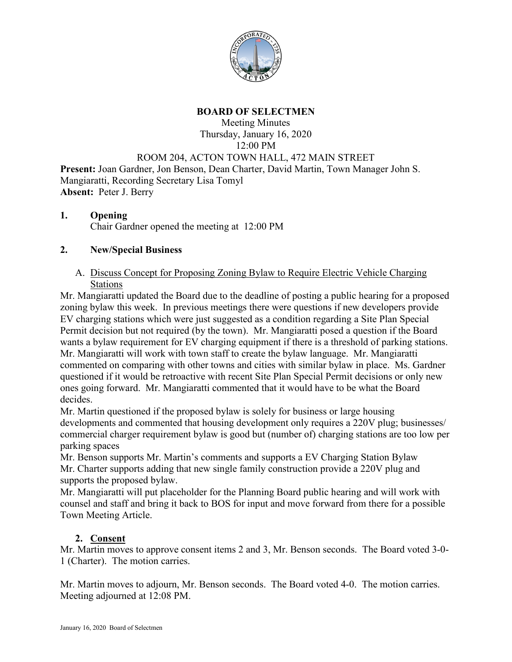

## **BOARD OF SELECTMEN**

# Meeting Minutes Thursday, January 16, 2020 12:00 PM ROOM 204, ACTON TOWN HALL, 472 MAIN STREET **Present:** Joan Gardner, Jon Benson, Dean Charter, David Martin, Town Manager John S.

Mangiaratti, Recording Secretary Lisa Tomyl **Absent:** Peter J. Berry

#### **1. Opening** Chair Gardner opened the meeting at 12:00 PM

## **2. New/Special Business**

#### A. Discuss Concept for Proposing Zoning Bylaw to Require Electric Vehicle Charging Stations

Mr. Mangiaratti updated the Board due to the deadline of posting a public hearing for a proposed zoning bylaw this week. In previous meetings there were questions if new developers provide EV charging stations which were just suggested as a condition regarding a Site Plan Special Permit decision but not required (by the town). Mr. Mangiaratti posed a question if the Board wants a bylaw requirement for EV charging equipment if there is a threshold of parking stations. Mr. Mangiaratti will work with town staff to create the bylaw language. Mr. Mangiaratti commented on comparing with other towns and cities with similar bylaw in place. Ms. Gardner questioned if it would be retroactive with recent Site Plan Special Permit decisions or only new ones going forward. Mr. Mangiaratti commented that it would have to be what the Board decides.

Mr. Martin questioned if the proposed bylaw is solely for business or large housing developments and commented that housing development only requires a 220V plug; businesses/ commercial charger requirement bylaw is good but (number of) charging stations are too low per parking spaces

Mr. Benson supports Mr. Martin's comments and supports a EV Charging Station Bylaw Mr. Charter supports adding that new single family construction provide a 220V plug and supports the proposed bylaw.

Mr. Mangiaratti will put placeholder for the Planning Board public hearing and will work with counsel and staff and bring it back to BOS for input and move forward from there for a possible Town Meeting Article.

# **2. Consent**

Mr. Martin moves to approve consent items 2 and 3, Mr. Benson seconds. The Board voted 3-0- 1 (Charter). The motion carries.

Mr. Martin moves to adjourn, Mr. Benson seconds. The Board voted 4-0. The motion carries. Meeting adjourned at 12:08 PM.